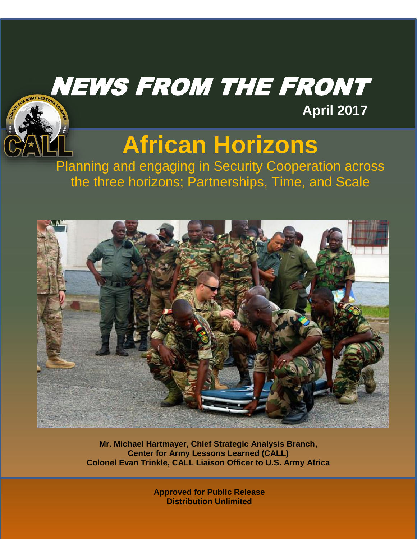## NEWS FROM THE FRONT



# **African Horizons**

**April 2017**

Planning and engaging in Security Cooperation across the three horizons; Partnerships, Time, and Scale



**Mr. Michael Hartmayer, Chief Strategic Analysis Branch, Center for Army Lessons Learned (CALL) Colonel Evan Trinkle, CALL Liaison Officer to U.S. Army Africa**

> **Approved for Public Release Distribution Unlimited**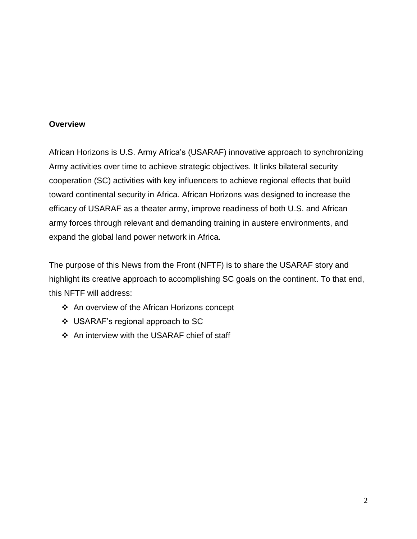#### **Overview**

African Horizons is U.S. Army Africa's (USARAF) innovative approach to synchronizing Army activities over time to achieve strategic objectives. It links bilateral security cooperation (SC) activities with key influencers to achieve regional effects that build toward continental security in Africa. African Horizons was designed to increase the efficacy of USARAF as a theater army, improve readiness of both U.S. and African army forces through relevant and demanding training in austere environments, and expand the global land power network in Africa.

The purpose of this News from the Front (NFTF) is to share the USARAF story and highlight its creative approach to accomplishing SC goals on the continent. To that end, this NFTF will address:

- An overview of the African Horizons concept
- USARAF's regional approach to SC
- ❖ An interview with the USARAF chief of staff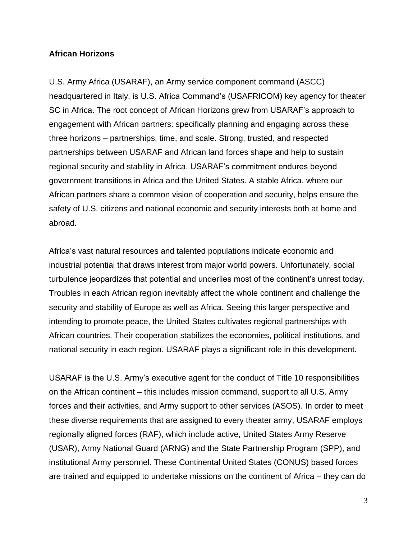#### **African Horizons**

U.S. Army Africa (USARAF), an Army service component command (ASCC) headquartered in Italy, is U.S. Africa Command's (USAFRICOM) key agency for theater SC in Africa. The root concept of African Horizons grew from USARAF's approach to engagement with African partners: specifically planning and engaging across these three horizons – partnerships, time, and scale. Strong, trusted, and respected partnerships between USARAF and African land forces shape and help to sustain regional security and stability in Africa. USARAF's commitment endures beyond government transitions in Africa and the United States. A stable Africa, where our African partners share a common vision of cooperation and security, helps ensure the safety of U.S. citizens and national economic and security interests both at home and abroad.

Africa's vast natural resources and talented populations indicate economic and industrial potential that draws interest from major world powers. Unfortunately, social turbulence jeopardizes that potential and underlies most of the continent's unrest today. Troubles in each African region inevitably affect the whole continent and challenge the security and stability of Europe as well as Africa. Seeing this larger perspective and intending to promote peace, the United States cultivates regional partnerships with African countries. Their cooperation stabilizes the economies, political institutions, and national security in each region. USARAF plays a significant role in this development.

USARAF is the U.S. Army's executive agent for the conduct of Title 10 responsibilities on the African continent – this includes mission command, support to all U.S. Army forces and their activities, and Army support to other services (ASOS). In order to meet these diverse requirements that are assigned to every theater army, USARAF employs regionally aligned forces (RAF), which include active, United States Army Reserve (USAR), Army National Guard (ARNG) and the State Partnership Program (SPP), and institutional Army personnel. These Continental United States (CONUS) based forces are trained and equipped to undertake missions on the continent of Africa – they can do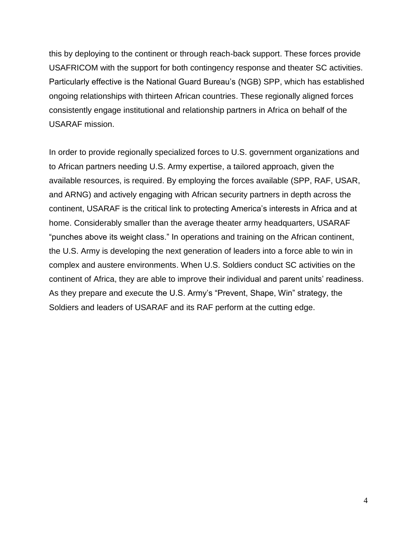this by deploying to the continent or through reach-back support. These forces provide USAFRICOM with the support for both contingency response and theater SC activities. Particularly effective is the National Guard Bureau's (NGB) SPP, which has established ongoing relationships with thirteen African countries. These regionally aligned forces consistently engage institutional and relationship partners in Africa on behalf of the USARAF mission.

In order to provide regionally specialized forces to U.S. government organizations and to African partners needing U.S. Army expertise, a tailored approach, given the available resources, is required. By employing the forces available (SPP, RAF, USAR, and ARNG) and actively engaging with African security partners in depth across the continent, USARAF is the critical link to protecting America's interests in Africa and at home. Considerably smaller than the average theater army headquarters, USARAF "punches above its weight class." In operations and training on the African continent, the U.S. Army is developing the next generation of leaders into a force able to win in complex and austere environments. When U.S. Soldiers conduct SC activities on the continent of Africa, they are able to improve their individual and parent units' readiness. As they prepare and execute the U.S. Army's "Prevent, Shape, Win" strategy, the Soldiers and leaders of USARAF and its RAF perform at the cutting edge.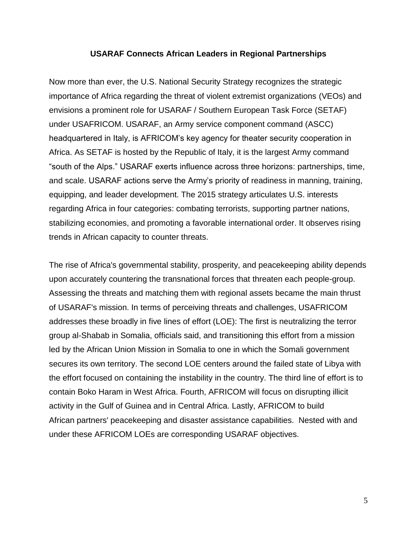#### **USARAF Connects African Leaders in Regional Partnerships**

Now more than ever, the U.S. National Security Strategy recognizes the strategic importance of Africa regarding the threat of violent extremist organizations (VEOs) and envisions a prominent role for USARAF / Southern European Task Force (SETAF) under USAFRICOM. USARAF, an Army service component command (ASCC) headquartered in Italy, is AFRICOM's key agency for theater security cooperation in Africa. As SETAF is hosted by the Republic of Italy, it is the largest Army command "south of the Alps." USARAF exerts influence across three horizons: partnerships, time, and scale. USARAF actions serve the Army's priority of readiness in manning, training, equipping, and leader development. The 2015 strategy articulates U.S. interests regarding Africa in four categories: combating terrorists, supporting partner nations, stabilizing economies, and promoting a favorable international order. It observes rising trends in African capacity to counter threats.

The rise of Africa's governmental stability, prosperity, and peacekeeping ability depends upon accurately countering the transnational forces that threaten each people-group. Assessing the threats and matching them with regional assets became the main thrust of USARAF's mission. In terms of perceiving threats and challenges, USAFRICOM addresses these broadly in five lines of effort (LOE): The first is neutralizing the terror group al-Shabab in Somalia, officials said, and transitioning this effort from a mission led by the African Union Mission in Somalia to one in which the Somali government secures its own territory. The second LOE centers around the failed state of Libya with the effort focused on containing the instability in the country. The third line of effort is to contain Boko Haram in West Africa. Fourth, AFRICOM will focus on disrupting illicit activity in the Gulf of Guinea and in Central Africa. Lastly, AFRICOM to build African partners' peacekeeping and disaster assistance capabilities. Nested with and under these AFRICOM LOEs are corresponding USARAF objectives.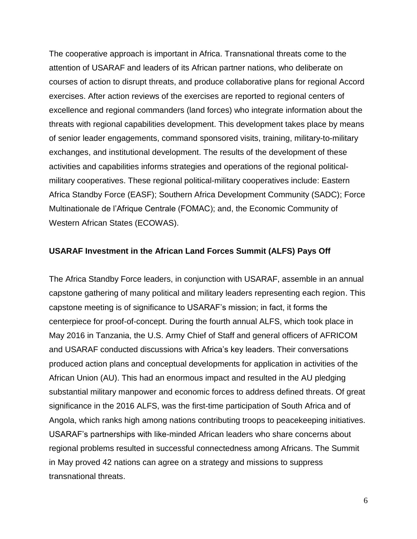The cooperative approach is important in Africa. Transnational threats come to the attention of USARAF and leaders of its African partner nations, who deliberate on courses of action to disrupt threats, and produce collaborative plans for regional Accord exercises. After action reviews of the exercises are reported to regional centers of excellence and regional commanders (land forces) who integrate information about the threats with regional capabilities development. This development takes place by means of senior leader engagements, command sponsored visits, training, military-to-military exchanges, and institutional development. The results of the development of these activities and capabilities informs strategies and operations of the regional politicalmilitary cooperatives. These regional political-military cooperatives include: Eastern Africa Standby Force (EASF); Southern Africa Development Community (SADC); Force Multinationale de l'Afrique Centrale (FOMAC); and, the Economic Community of Western African States (ECOWAS).

#### **USARAF Investment in the African Land Forces Summit (ALFS) Pays Off**

The Africa Standby Force leaders, in conjunction with USARAF, assemble in an annual capstone gathering of many political and military leaders representing each region. This capstone meeting is of significance to USARAF's mission; in fact, it forms the centerpiece for proof-of-concept. During the fourth annual ALFS, which took place in May 2016 in Tanzania, the U.S. Army Chief of Staff and general officers of AFRICOM and USARAF conducted discussions with Africa's key leaders. Their conversations produced action plans and conceptual developments for application in activities of the African Union (AU). This had an enormous impact and resulted in the AU pledging substantial military manpower and economic forces to address defined threats. Of great significance in the 2016 ALFS, was the first-time participation of South Africa and of Angola, which ranks high among nations contributing troops to peacekeeping initiatives. USARAF's partnerships with like-minded African leaders who share concerns about regional problems resulted in successful connectedness among Africans. The Summit in May proved 42 nations can agree on a strategy and missions to suppress transnational threats.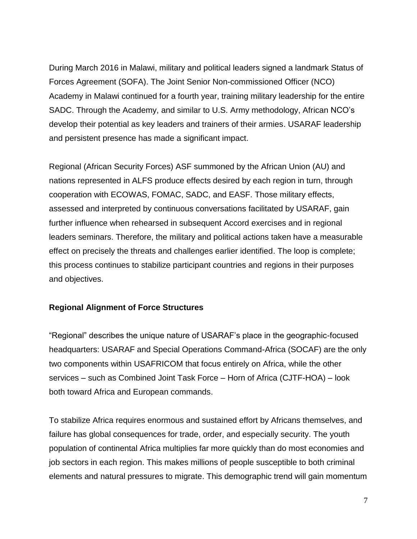During March 2016 in Malawi, military and political leaders signed a landmark Status of Forces Agreement (SOFA). The Joint Senior Non-commissioned Officer (NCO) Academy in Malawi continued for a fourth year, training military leadership for the entire SADC. Through the Academy, and similar to U.S. Army methodology, African NCO's develop their potential as key leaders and trainers of their armies. USARAF leadership and persistent presence has made a significant impact.

Regional (African Security Forces) ASF summoned by the African Union (AU) and nations represented in ALFS produce effects desired by each region in turn, through cooperation with ECOWAS, FOMAC, SADC, and EASF. Those military effects, assessed and interpreted by continuous conversations facilitated by USARAF, gain further influence when rehearsed in subsequent Accord exercises and in regional leaders seminars. Therefore, the military and political actions taken have a measurable effect on precisely the threats and challenges earlier identified. The loop is complete; this process continues to stabilize participant countries and regions in their purposes and objectives.

#### **Regional Alignment of Force Structures**

"Regional" describes the unique nature of USARAF's place in the geographic-focused headquarters: USARAF and Special Operations Command-Africa (SOCAF) are the only two components within USAFRICOM that focus entirely on Africa, while the other services – such as Combined Joint Task Force – Horn of Africa (CJTF-HOA) – look both toward Africa and European commands.

To stabilize Africa requires enormous and sustained effort by Africans themselves, and failure has global consequences for trade, order, and especially security. The youth population of continental Africa multiplies far more quickly than do most economies and job sectors in each region. This makes millions of people susceptible to both criminal elements and natural pressures to migrate. This demographic trend will gain momentum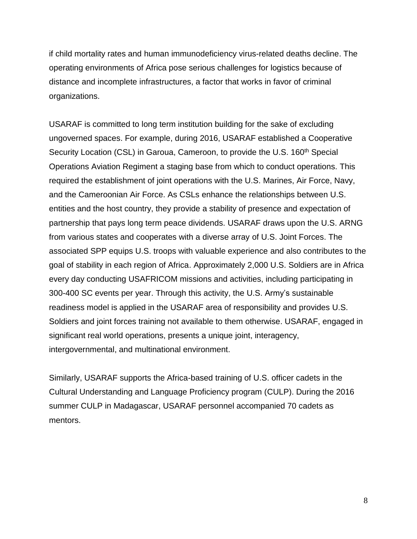if child mortality rates and human immunodeficiency virus-related deaths decline. The operating environments of Africa pose serious challenges for logistics because of distance and incomplete infrastructures, a factor that works in favor of criminal organizations.

USARAF is committed to long term institution building for the sake of excluding ungoverned spaces. For example, during 2016, USARAF established a Cooperative Security Location (CSL) in Garoua, Cameroon, to provide the U.S. 160<sup>th</sup> Special Operations Aviation Regiment a staging base from which to conduct operations. This required the establishment of joint operations with the U.S. Marines, Air Force, Navy, and the Cameroonian Air Force. As CSLs enhance the relationships between U.S. entities and the host country, they provide a stability of presence and expectation of partnership that pays long term peace dividends. USARAF draws upon the U.S. ARNG from various states and cooperates with a diverse array of U.S. Joint Forces. The associated SPP equips U.S. troops with valuable experience and also contributes to the goal of stability in each region of Africa. Approximately 2,000 U.S. Soldiers are in Africa every day conducting USAFRICOM missions and activities, including participating in 300-400 SC events per year. Through this activity, the U.S. Army's sustainable readiness model is applied in the USARAF area of responsibility and provides U.S. Soldiers and joint forces training not available to them otherwise. USARAF, engaged in significant real world operations, presents a unique joint, interagency, intergovernmental, and multinational environment.

Similarly, USARAF supports the Africa-based training of U.S. officer cadets in the Cultural Understanding and Language Proficiency program (CULP). During the 2016 summer CULP in Madagascar, USARAF personnel accompanied 70 cadets as mentors.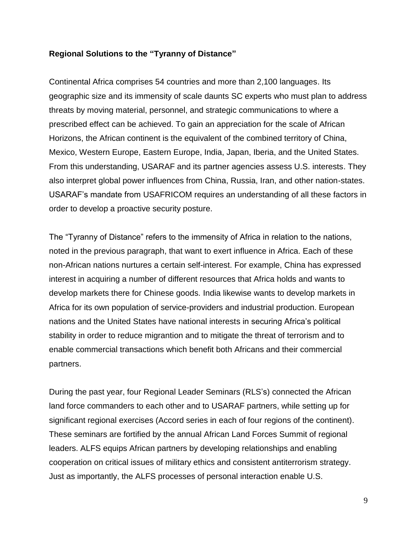#### **Regional Solutions to the "Tyranny of Distance"**

Continental Africa comprises 54 countries and more than 2,100 languages. Its geographic size and its immensity of scale daunts SC experts who must plan to address threats by moving material, personnel, and strategic communications to where a prescribed effect can be achieved. To gain an appreciation for the scale of African Horizons, the African continent is the equivalent of the combined territory of China, Mexico, Western Europe, Eastern Europe, India, Japan, Iberia, and the United States. From this understanding, USARAF and its partner agencies assess U.S. interests. They also interpret global power influences from China, Russia, Iran, and other nation-states. USARAF's mandate from USAFRICOM requires an understanding of all these factors in order to develop a proactive security posture.

The "Tyranny of Distance" refers to the immensity of Africa in relation to the nations, noted in the previous paragraph, that want to exert influence in Africa. Each of these non-African nations nurtures a certain self-interest. For example, China has expressed interest in acquiring a number of different resources that Africa holds and wants to develop markets there for Chinese goods. India likewise wants to develop markets in Africa for its own population of service-providers and industrial production. European nations and the United States have national interests in securing Africa's political stability in order to reduce migrantion and to mitigate the threat of terrorism and to enable commercial transactions which benefit both Africans and their commercial partners.

During the past year, four Regional Leader Seminars (RLS's) connected the African land force commanders to each other and to USARAF partners, while setting up for significant regional exercises (Accord series in each of four regions of the continent). These seminars are fortified by the annual African Land Forces Summit of regional leaders. ALFS equips African partners by developing relationships and enabling cooperation on critical issues of military ethics and consistent antiterrorism strategy. Just as importantly, the ALFS processes of personal interaction enable U.S.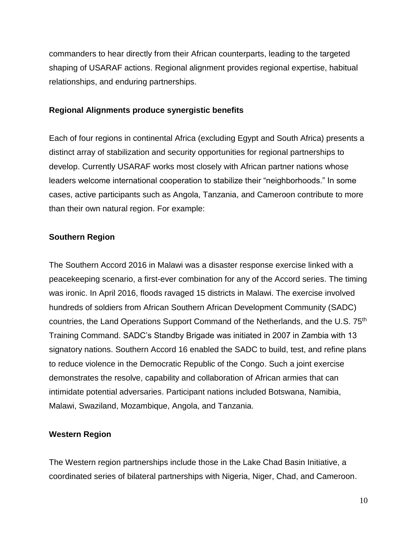commanders to hear directly from their African counterparts, leading to the targeted shaping of USARAF actions. Regional alignment provides regional expertise, habitual relationships, and enduring partnerships.

#### **Regional Alignments produce synergistic benefits**

Each of four regions in continental Africa (excluding Egypt and South Africa) presents a distinct array of stabilization and security opportunities for regional partnerships to develop. Currently USARAF works most closely with African partner nations whose leaders welcome international cooperation to stabilize their "neighborhoods." In some cases, active participants such as Angola, Tanzania, and Cameroon contribute to more than their own natural region. For example:

#### **Southern Region**

The Southern Accord 2016 in Malawi was a disaster response exercise linked with a peacekeeping scenario, a first-ever combination for any of the Accord series. The timing was ironic. In April 2016, floods ravaged 15 districts in Malawi. The exercise involved hundreds of soldiers from African Southern African Development Community (SADC) countries, the Land Operations Support Command of the Netherlands, and the U.S. 75<sup>th</sup> Training Command. SADC's Standby Brigade was initiated in 2007 in Zambia with 13 signatory nations. Southern Accord 16 enabled the SADC to build, test, and refine plans to reduce violence in the Democratic Republic of the Congo. Such a joint exercise demonstrates the resolve, capability and collaboration of African armies that can intimidate potential adversaries. Participant nations included Botswana, Namibia, Malawi, Swaziland, Mozambique, Angola, and Tanzania.

#### **Western Region**

The Western region partnerships include those in the Lake Chad Basin Initiative, a coordinated series of bilateral partnerships with Nigeria, Niger, Chad, and Cameroon.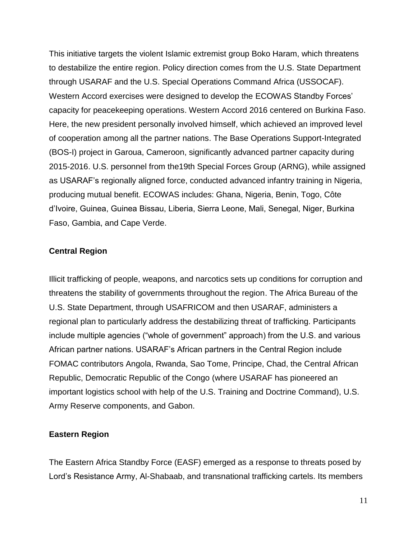This initiative targets the violent Islamic extremist group Boko Haram, which threatens to destabilize the entire region. Policy direction comes from the U.S. State Department through USARAF and the U.S. Special Operations Command Africa (USSOCAF). Western Accord exercises were designed to develop the ECOWAS Standby Forces' capacity for peacekeeping operations. Western Accord 2016 centered on Burkina Faso. Here, the new president personally involved himself, which achieved an improved level of cooperation among all the partner nations. The Base Operations Support-Integrated (BOS-I) project in Garoua, Cameroon, significantly advanced partner capacity during 2015-2016. U.S. personnel from the19th Special Forces Group (ARNG), while assigned as USARAF's regionally aligned force, conducted advanced infantry training in Nigeria, producing mutual benefit. ECOWAS includes: Ghana, Nigeria, Benin, Togo, Côte d'Ivoire, Guinea, Guinea Bissau, Liberia, Sierra Leone, Mali, Senegal, Niger, Burkina Faso, Gambia, and Cape Verde.

#### **Central Region**

Illicit trafficking of people, weapons, and narcotics sets up conditions for corruption and threatens the stability of governments throughout the region. The Africa Bureau of the U.S. State Department, through USAFRICOM and then USARAF, administers a regional plan to particularly address the destabilizing threat of trafficking. Participants include multiple agencies ("whole of government" approach) from the U.S. and various African partner nations. USARAF's African partners in the Central Region include FOMAC contributors Angola, Rwanda, Sao Tome, Principe, Chad, the Central African Republic, Democratic Republic of the Congo (where USARAF has pioneered an important logistics school with help of the U.S. Training and Doctrine Command), U.S. Army Reserve components, and Gabon.

#### **Eastern Region**

The Eastern Africa Standby Force (EASF) emerged as a response to threats posed by Lord's Resistance Army, Al-Shabaab, and transnational trafficking cartels. Its members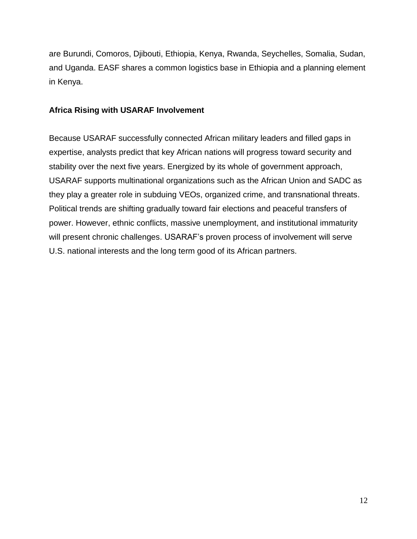are Burundi, Comoros, Djibouti, Ethiopia, Kenya, Rwanda, Seychelles, Somalia, Sudan, and Uganda. EASF shares a common logistics base in Ethiopia and a planning element in Kenya.

#### **Africa Rising with USARAF Involvement**

Because USARAF successfully connected African military leaders and filled gaps in expertise, analysts predict that key African nations will progress toward security and stability over the next five years. Energized by its whole of government approach, USARAF supports multinational organizations such as the African Union and SADC as they play a greater role in subduing VEOs, organized crime, and transnational threats. Political trends are shifting gradually toward fair elections and peaceful transfers of power. However, ethnic conflicts, massive unemployment, and institutional immaturity will present chronic challenges. USARAF's proven process of involvement will serve U.S. national interests and the long term good of its African partners.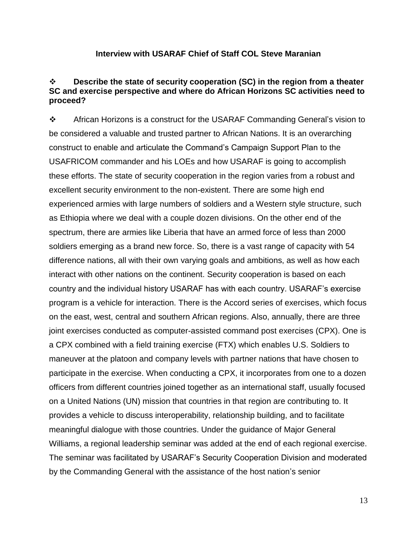#### **Interview with USARAF Chief of Staff COL Steve Maranian**

#### **Describe the state of security cooperation (SC) in the region from a theater SC and exercise perspective and where do African Horizons SC activities need to proceed?**

 African Horizons is a construct for the USARAF Commanding General's vision to be considered a valuable and trusted partner to African Nations. It is an overarching construct to enable and articulate the Command's Campaign Support Plan to the USAFRICOM commander and his LOEs and how USARAF is going to accomplish these efforts. The state of security cooperation in the region varies from a robust and excellent security environment to the non-existent. There are some high end experienced armies with large numbers of soldiers and a Western style structure, such as Ethiopia where we deal with a couple dozen divisions. On the other end of the spectrum, there are armies like Liberia that have an armed force of less than 2000 soldiers emerging as a brand new force. So, there is a vast range of capacity with 54 difference nations, all with their own varying goals and ambitions, as well as how each interact with other nations on the continent. Security cooperation is based on each country and the individual history USARAF has with each country. USARAF's exercise program is a vehicle for interaction. There is the Accord series of exercises, which focus on the east, west, central and southern African regions. Also, annually, there are three joint exercises conducted as computer-assisted command post exercises (CPX). One is a CPX combined with a field training exercise (FTX) which enables U.S. Soldiers to maneuver at the platoon and company levels with partner nations that have chosen to participate in the exercise. When conducting a CPX, it incorporates from one to a dozen officers from different countries joined together as an international staff, usually focused on a United Nations (UN) mission that countries in that region are contributing to. It provides a vehicle to discuss interoperability, relationship building, and to facilitate meaningful dialogue with those countries. Under the guidance of Major General Williams, a regional leadership seminar was added at the end of each regional exercise. The seminar was facilitated by USARAF's Security Cooperation Division and moderated by the Commanding General with the assistance of the host nation's senior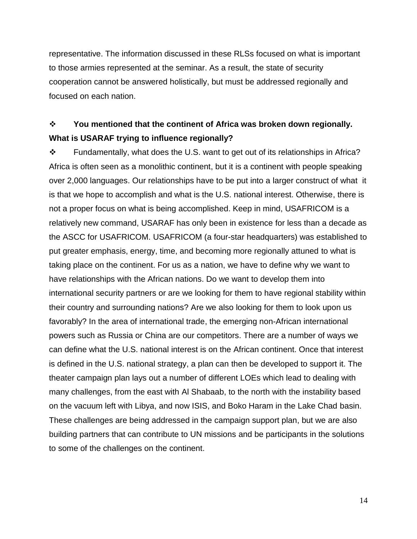representative. The information discussed in these RLSs focused on what is important to those armies represented at the seminar. As a result, the state of security cooperation cannot be answered holistically, but must be addressed regionally and focused on each nation.

## **You mentioned that the continent of Africa was broken down regionally. What is USARAF trying to influence regionally?**

 $\div$  Fundamentally, what does the U.S. want to get out of its relationships in Africa? Africa is often seen as a monolithic continent, but it is a continent with people speaking over 2,000 languages. Our relationships have to be put into a larger construct of what it is that we hope to accomplish and what is the U.S. national interest. Otherwise, there is not a proper focus on what is being accomplished. Keep in mind, USAFRICOM is a relatively new command, USARAF has only been in existence for less than a decade as the ASCC for USAFRICOM. USAFRICOM (a four-star headquarters) was established to put greater emphasis, energy, time, and becoming more regionally attuned to what is taking place on the continent. For us as a nation, we have to define why we want to have relationships with the African nations. Do we want to develop them into international security partners or are we looking for them to have regional stability within their country and surrounding nations? Are we also looking for them to look upon us favorably? In the area of international trade, the emerging non-African international powers such as Russia or China are our competitors. There are a number of ways we can define what the U.S. national interest is on the African continent. Once that interest is defined in the U.S. national strategy, a plan can then be developed to support it. The theater campaign plan lays out a number of different LOEs which lead to dealing with many challenges, from the east with Al Shabaab, to the north with the instability based on the vacuum left with Libya, and now ISIS, and Boko Haram in the Lake Chad basin. These challenges are being addressed in the campaign support plan, but we are also building partners that can contribute to UN missions and be participants in the solutions to some of the challenges on the continent.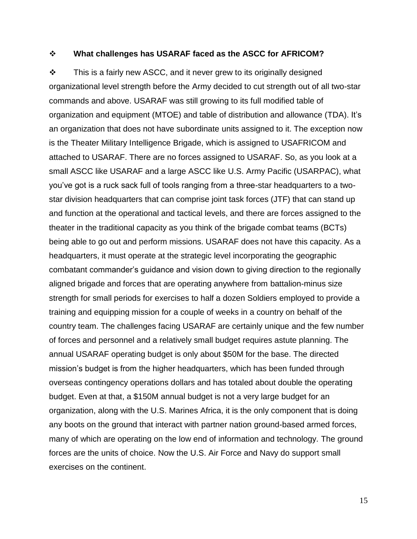#### **What challenges has USARAF faced as the ASCC for AFRICOM?**

 $\cdot \cdot$  This is a fairly new ASCC, and it never grew to its originally designed organizational level strength before the Army decided to cut strength out of all two-star commands and above. USARAF was still growing to its full modified table of organization and equipment (MTOE) and table of distribution and allowance (TDA). It's an organization that does not have subordinate units assigned to it. The exception now is the Theater Military Intelligence Brigade, which is assigned to USAFRICOM and attached to USARAF. There are no forces assigned to USARAF. So, as you look at a small ASCC like USARAF and a large ASCC like U.S. Army Pacific (USARPAC), what you've got is a ruck sack full of tools ranging from a three-star headquarters to a twostar division headquarters that can comprise joint task forces (JTF) that can stand up and function at the operational and tactical levels, and there are forces assigned to the theater in the traditional capacity as you think of the brigade combat teams (BCTs) being able to go out and perform missions. USARAF does not have this capacity. As a headquarters, it must operate at the strategic level incorporating the geographic combatant commander's guidance and vision down to giving direction to the regionally aligned brigade and forces that are operating anywhere from battalion-minus size strength for small periods for exercises to half a dozen Soldiers employed to provide a training and equipping mission for a couple of weeks in a country on behalf of the country team. The challenges facing USARAF are certainly unique and the few number of forces and personnel and a relatively small budget requires astute planning. The annual USARAF operating budget is only about \$50M for the base. The directed mission's budget is from the higher headquarters, which has been funded through overseas contingency operations dollars and has totaled about double the operating budget. Even at that, a \$150M annual budget is not a very large budget for an organization, along with the U.S. Marines Africa, it is the only component that is doing any boots on the ground that interact with partner nation ground-based armed forces, many of which are operating on the low end of information and technology. The ground forces are the units of choice. Now the U.S. Air Force and Navy do support small exercises on the continent.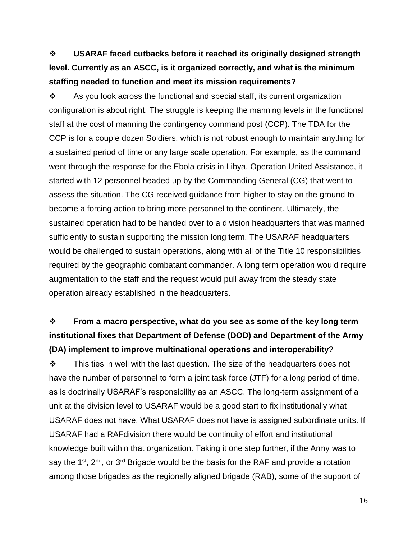**USARAF faced cutbacks before it reached its originally designed strength level. Currently as an ASCC, is it organized correctly, and what is the minimum staffing needed to function and meet its mission requirements?**

 $\cdot$  As you look across the functional and special staff, its current organization configuration is about right. The struggle is keeping the manning levels in the functional staff at the cost of manning the contingency command post (CCP). The TDA for the CCP is for a couple dozen Soldiers, which is not robust enough to maintain anything for a sustained period of time or any large scale operation. For example, as the command went through the response for the Ebola crisis in Libya, Operation United Assistance, it started with 12 personnel headed up by the Commanding General (CG) that went to assess the situation. The CG received guidance from higher to stay on the ground to become a forcing action to bring more personnel to the continent. Ultimately, the sustained operation had to be handed over to a division headquarters that was manned sufficiently to sustain supporting the mission long term. The USARAF headquarters would be challenged to sustain operations, along with all of the Title 10 responsibilities required by the geographic combatant commander. A long term operation would require augmentation to the staff and the request would pull away from the steady state operation already established in the headquarters.

## **From a macro perspective, what do you see as some of the key long term institutional fixes that Department of Defense (DOD) and Department of the Army (DA) implement to improve multinational operations and interoperability?**

 $\mathbf{\hat{P}}$  This ties in well with the last question. The size of the headquarters does not have the number of personnel to form a joint task force (JTF) for a long period of time, as is doctrinally USARAF's responsibility as an ASCC. The long-term assignment of a unit at the division level to USARAF would be a good start to fix institutionally what USARAF does not have. What USARAF does not have is assigned subordinate units. If USARAF had a RAFdivision there would be continuity of effort and institutional knowledge built within that organization. Taking it one step further, if the Army was to say the  $1^{st}$ ,  $2^{nd}$ , or  $3^{rd}$  Brigade would be the basis for the RAF and provide a rotation among those brigades as the regionally aligned brigade (RAB), some of the support of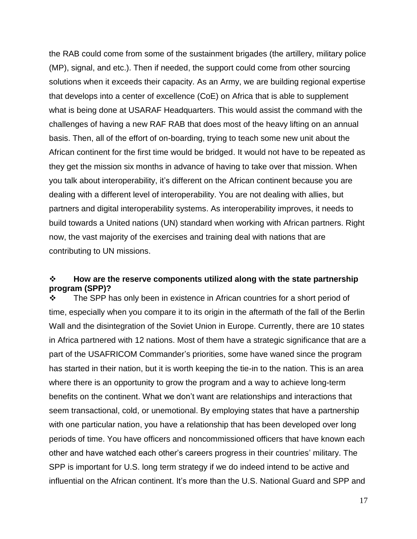the RAB could come from some of the sustainment brigades (the artillery, military police (MP), signal, and etc.). Then if needed, the support could come from other sourcing solutions when it exceeds their capacity. As an Army, we are building regional expertise that develops into a center of excellence (CoE) on Africa that is able to supplement what is being done at USARAF Headquarters. This would assist the command with the challenges of having a new RAF RAB that does most of the heavy lifting on an annual basis. Then, all of the effort of on-boarding, trying to teach some new unit about the African continent for the first time would be bridged. It would not have to be repeated as they get the mission six months in advance of having to take over that mission. When you talk about interoperability, it's different on the African continent because you are dealing with a different level of interoperability. You are not dealing with allies, but partners and digital interoperability systems. As interoperability improves, it needs to build towards a United nations (UN) standard when working with African partners. Right now, the vast majority of the exercises and training deal with nations that are contributing to UN missions.

#### **How are the reserve components utilized along with the state partnership program (SPP)?**

 $\div$  The SPP has only been in existence in African countries for a short period of time, especially when you compare it to its origin in the aftermath of the fall of the Berlin Wall and the disintegration of the Soviet Union in Europe. Currently, there are 10 states in Africa partnered with 12 nations. Most of them have a strategic significance that are a part of the USAFRICOM Commander's priorities, some have waned since the program has started in their nation, but it is worth keeping the tie-in to the nation. This is an area where there is an opportunity to grow the program and a way to achieve long-term benefits on the continent. What we don't want are relationships and interactions that seem transactional, cold, or unemotional. By employing states that have a partnership with one particular nation, you have a relationship that has been developed over long periods of time. You have officers and noncommissioned officers that have known each other and have watched each other's careers progress in their countries' military. The SPP is important for U.S. long term strategy if we do indeed intend to be active and influential on the African continent. It's more than the U.S. National Guard and SPP and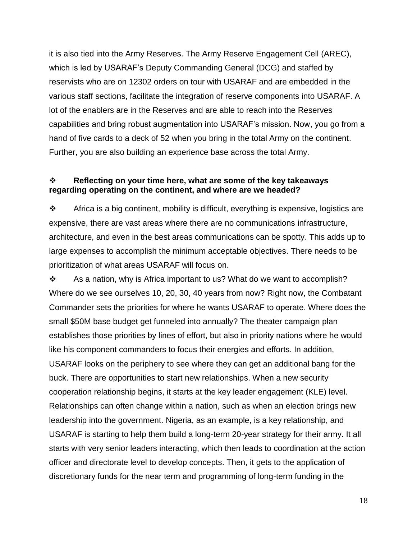it is also tied into the Army Reserves. The Army Reserve Engagement Cell (AREC), which is led by USARAF's Deputy Commanding General (DCG) and staffed by reservists who are on 12302 orders on tour with USARAF and are embedded in the various staff sections, facilitate the integration of reserve components into USARAF. A lot of the enablers are in the Reserves and are able to reach into the Reserves capabilities and bring robust augmentation into USARAF's mission. Now, you go from a hand of five cards to a deck of 52 when you bring in the total Army on the continent. Further, you are also building an experience base across the total Army.

#### **Reflecting on your time here, what are some of the key takeaways regarding operating on the continent, and where are we headed?**

 $\cdot \cdot$  Africa is a big continent, mobility is difficult, everything is expensive, logistics are expensive, there are vast areas where there are no communications infrastructure, architecture, and even in the best areas communications can be spotty. This adds up to large expenses to accomplish the minimum acceptable objectives. There needs to be prioritization of what areas USARAF will focus on.

 $\cdot$  As a nation, why is Africa important to us? What do we want to accomplish? Where do we see ourselves 10, 20, 30, 40 years from now? Right now, the Combatant Commander sets the priorities for where he wants USARAF to operate. Where does the small \$50M base budget get funneled into annually? The theater campaign plan establishes those priorities by lines of effort, but also in priority nations where he would like his component commanders to focus their energies and efforts. In addition, USARAF looks on the periphery to see where they can get an additional bang for the buck. There are opportunities to start new relationships. When a new security cooperation relationship begins, it starts at the key leader engagement (KLE) level. Relationships can often change within a nation, such as when an election brings new leadership into the government. Nigeria, as an example, is a key relationship, and USARAF is starting to help them build a long-term 20-year strategy for their army. It all starts with very senior leaders interacting, which then leads to coordination at the action officer and directorate level to develop concepts. Then, it gets to the application of discretionary funds for the near term and programming of long-term funding in the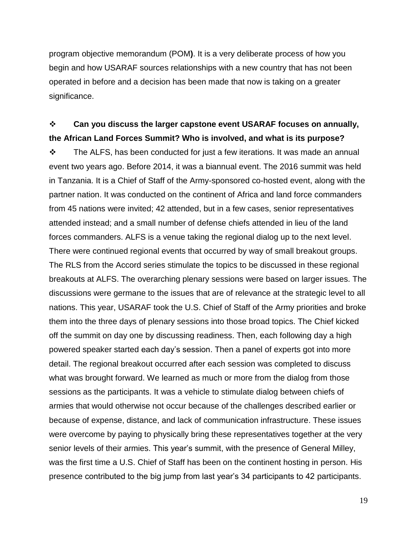program objective memorandum (POM**)**. It is a very deliberate process of how you begin and how USARAF sources relationships with a new country that has not been operated in before and a decision has been made that now is taking on a greater significance.

### **Can you discuss the larger capstone event USARAF focuses on annually, the African Land Forces Summit? Who is involved, and what is its purpose?**

 $\cdot \cdot$  The ALFS, has been conducted for just a few iterations. It was made an annual event two years ago. Before 2014, it was a biannual event. The 2016 summit was held in Tanzania. It is a Chief of Staff of the Army-sponsored co-hosted event, along with the partner nation. It was conducted on the continent of Africa and land force commanders from 45 nations were invited; 42 attended, but in a few cases, senior representatives attended instead; and a small number of defense chiefs attended in lieu of the land forces commanders. ALFS is a venue taking the regional dialog up to the next level. There were continued regional events that occurred by way of small breakout groups. The RLS from the Accord series stimulate the topics to be discussed in these regional breakouts at ALFS. The overarching plenary sessions were based on larger issues. The discussions were germane to the issues that are of relevance at the strategic level to all nations. This year, USARAF took the U.S. Chief of Staff of the Army priorities and broke them into the three days of plenary sessions into those broad topics. The Chief kicked off the summit on day one by discussing readiness. Then, each following day a high powered speaker started each day's session. Then a panel of experts got into more detail. The regional breakout occurred after each session was completed to discuss what was brought forward. We learned as much or more from the dialog from those sessions as the participants. It was a vehicle to stimulate dialog between chiefs of armies that would otherwise not occur because of the challenges described earlier or because of expense, distance, and lack of communication infrastructure. These issues were overcome by paying to physically bring these representatives together at the very senior levels of their armies. This year's summit, with the presence of General Milley, was the first time a U.S. Chief of Staff has been on the continent hosting in person. His presence contributed to the big jump from last year's 34 participants to 42 participants.